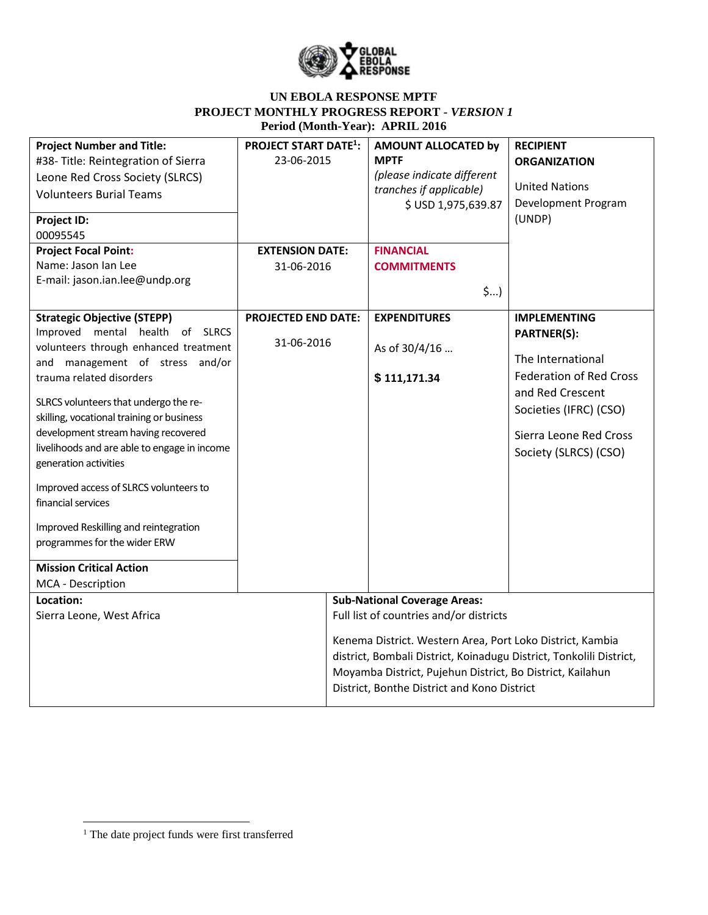

| <b>Project Number and Title:</b><br>#38-Title: Reintegration of Sierra<br>Leone Red Cross Society (SLRCS)<br><b>Volunteers Burial Teams</b><br>Project ID:<br>00095545<br><b>Project Focal Point:</b>                                                                                                                                                                                                                                                                                                                                                                               | <b>PROJECT START DATE<sup>1</sup>:</b><br>23-06-2015<br><b>EXTENSION DATE:</b> | AMOUNT ALLOCATED by<br><b>MPTF</b><br>(please indicate different<br>tranches if applicable)<br>\$ USD 1,975,639.87<br><b>FINANCIAL</b>                                                                                                                                                                                         | <b>RECIPIENT</b><br><b>ORGANIZATION</b><br><b>United Nations</b><br>Development Program<br>(UNDP)                                                                                                 |
|-------------------------------------------------------------------------------------------------------------------------------------------------------------------------------------------------------------------------------------------------------------------------------------------------------------------------------------------------------------------------------------------------------------------------------------------------------------------------------------------------------------------------------------------------------------------------------------|--------------------------------------------------------------------------------|--------------------------------------------------------------------------------------------------------------------------------------------------------------------------------------------------------------------------------------------------------------------------------------------------------------------------------|---------------------------------------------------------------------------------------------------------------------------------------------------------------------------------------------------|
| Name: Jason Ian Lee<br>E-mail: jason.ian.lee@undp.org                                                                                                                                                                                                                                                                                                                                                                                                                                                                                                                               | 31-06-2016                                                                     | <b>COMMITMENTS</b><br>\$)                                                                                                                                                                                                                                                                                                      |                                                                                                                                                                                                   |
| <b>Strategic Objective (STEPP)</b><br>Improved mental health of SLRCS<br>volunteers through enhanced treatment<br>and management of stress and/or<br>trauma related disorders<br>SLRCS volunteers that undergo the re-<br>skilling, vocational training or business<br>development stream having recovered<br>livelihoods and are able to engage in income<br>generation activities<br>Improved access of SLRCS volunteers to<br>financial services<br>Improved Reskilling and reintegration<br>programmes for the wider ERW<br><b>Mission Critical Action</b><br>MCA - Description | <b>PROJECTED END DATE:</b><br>31-06-2016                                       | <b>EXPENDITURES</b><br>As of 30/4/16<br>\$111,171.34                                                                                                                                                                                                                                                                           | <b>IMPLEMENTING</b><br><b>PARTNER(S):</b><br>The International<br><b>Federation of Red Cross</b><br>and Red Crescent<br>Societies (IFRC) (CSO)<br>Sierra Leone Red Cross<br>Society (SLRCS) (CSO) |
| Location:<br>Sierra Leone, West Africa                                                                                                                                                                                                                                                                                                                                                                                                                                                                                                                                              |                                                                                | <b>Sub-National Coverage Areas:</b><br>Full list of countries and/or districts<br>Kenema District. Western Area, Port Loko District, Kambia<br>district, Bombali District, Koinadugu District, Tonkolili District,<br>Moyamba District, Pujehun District, Bo District, Kailahun<br>District, Bonthe District and Kono District |                                                                                                                                                                                                   |

 $\overline{\phantom{a}}$ 

<sup>&</sup>lt;sup>1</sup> The date project funds were first transferred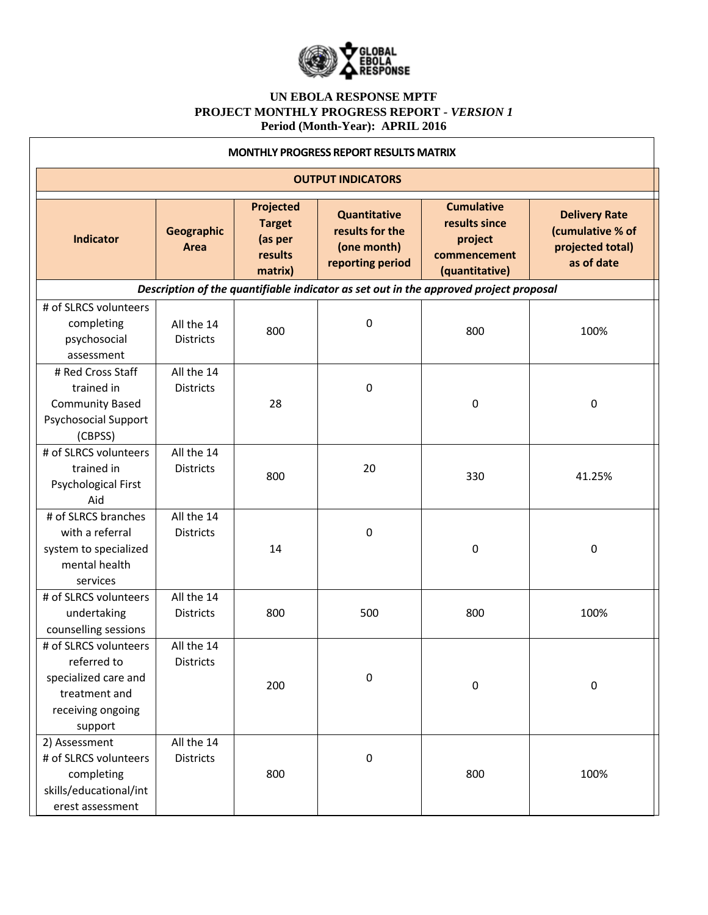

|                                                                                                               |                                |                                                             | <b>MONTHLY PROGRESS REPORT RESULTS MATRIX</b>                      |                                                                                       |                                                                            |
|---------------------------------------------------------------------------------------------------------------|--------------------------------|-------------------------------------------------------------|--------------------------------------------------------------------|---------------------------------------------------------------------------------------|----------------------------------------------------------------------------|
|                                                                                                               |                                |                                                             | <b>OUTPUT INDICATORS</b>                                           |                                                                                       |                                                                            |
| <b>Indicator</b>                                                                                              | Geographic<br>Area             | Projected<br><b>Target</b><br>(as per<br>results<br>matrix) | Quantitative<br>results for the<br>(one month)<br>reporting period | <b>Cumulative</b><br>results since<br>project<br>commencement<br>(quantitative)       | <b>Delivery Rate</b><br>(cumulative % of<br>projected total)<br>as of date |
|                                                                                                               |                                |                                                             |                                                                    | Description of the quantifiable indicator as set out in the approved project proposal |                                                                            |
| # of SLRCS volunteers<br>completing<br>psychosocial<br>assessment                                             | All the 14<br><b>Districts</b> | 800                                                         | $\boldsymbol{0}$                                                   | 800                                                                                   | 100%                                                                       |
| # Red Cross Staff<br>trained in<br><b>Community Based</b><br><b>Psychosocial Support</b><br>(CBPSS)           | All the 14<br><b>Districts</b> | 28                                                          | $\boldsymbol{0}$                                                   | 0                                                                                     | 0                                                                          |
| # of SLRCS volunteers<br>trained in<br>Psychological First<br>Aid                                             | All the 14<br><b>Districts</b> | 800                                                         | 20                                                                 | 330                                                                                   | 41.25%                                                                     |
| # of SLRCS branches<br>with a referral<br>system to specialized<br>mental health<br>services                  | All the 14<br><b>Districts</b> | 14                                                          | $\boldsymbol{0}$                                                   | 0                                                                                     | 0                                                                          |
| # of SLRCS volunteers<br>undertaking<br>counselling sessions                                                  | All the 14<br><b>Districts</b> | 800                                                         | 500                                                                | 800                                                                                   | 100%                                                                       |
| # of SLRCS volunteers<br>referred to<br>specialized care and<br>treatment and<br>receiving ongoing<br>support | All the 14<br>Districts        | 200                                                         | $\boldsymbol{0}$                                                   | 0                                                                                     | 0                                                                          |
| 2) Assessment<br># of SLRCS volunteers<br>completing<br>skills/educational/int<br>erest assessment            | All the 14<br><b>Districts</b> | 800                                                         | $\pmb{0}$                                                          | 800                                                                                   | 100%                                                                       |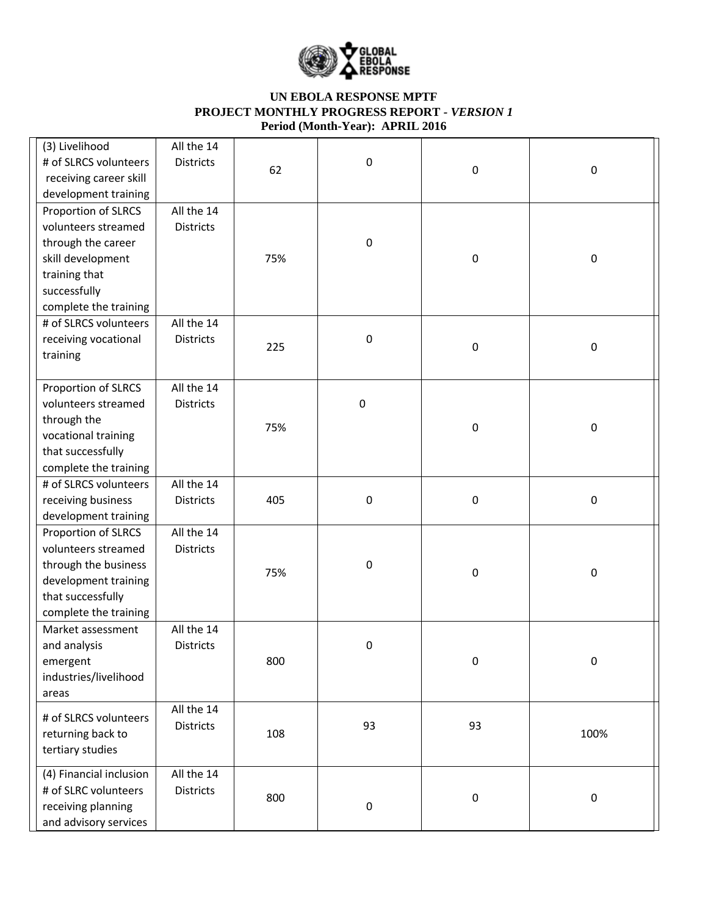

| (3) Livelihood<br># of SLRCS volunteers<br>receiving career skill<br>development training                                                       | All the 14<br><b>Districts</b> | 62  | 0                | $\pmb{0}$ | $\pmb{0}$ |
|-------------------------------------------------------------------------------------------------------------------------------------------------|--------------------------------|-----|------------------|-----------|-----------|
| Proportion of SLRCS<br>volunteers streamed<br>through the career<br>skill development<br>training that<br>successfully<br>complete the training | All the 14<br><b>Districts</b> | 75% | $\boldsymbol{0}$ | $\pmb{0}$ | $\pmb{0}$ |
| # of SLRCS volunteers<br>receiving vocational<br>training                                                                                       | All the 14<br><b>Districts</b> | 225 | $\boldsymbol{0}$ | 0         | $\pmb{0}$ |
| Proportion of SLRCS<br>volunteers streamed<br>through the<br>vocational training<br>that successfully<br>complete the training                  | All the 14<br><b>Districts</b> | 75% | $\pmb{0}$        | $\pmb{0}$ | $\pmb{0}$ |
| # of SLRCS volunteers<br>receiving business<br>development training                                                                             | All the 14<br><b>Districts</b> | 405 | $\boldsymbol{0}$ | 0         | $\pmb{0}$ |
| Proportion of SLRCS<br>volunteers streamed<br>through the business<br>development training<br>that successfully<br>complete the training        | All the 14<br><b>Districts</b> | 75% | 0                | $\pmb{0}$ | $\pmb{0}$ |
| Market assessment<br>and analysis<br>emergent<br>industries/livelihood<br>areas                                                                 | All the 14<br><b>Districts</b> | 800 | $\boldsymbol{0}$ | 0         | 0         |
| # of SLRCS volunteers<br>returning back to<br>tertiary studies                                                                                  | All the 14<br><b>Districts</b> | 108 | 93               | 93        | 100%      |
| (4) Financial inclusion<br># of SLRC volunteers<br>receiving planning<br>and advisory services                                                  | All the 14<br><b>Districts</b> | 800 | $\boldsymbol{0}$ | $\pmb{0}$ | $\pmb{0}$ |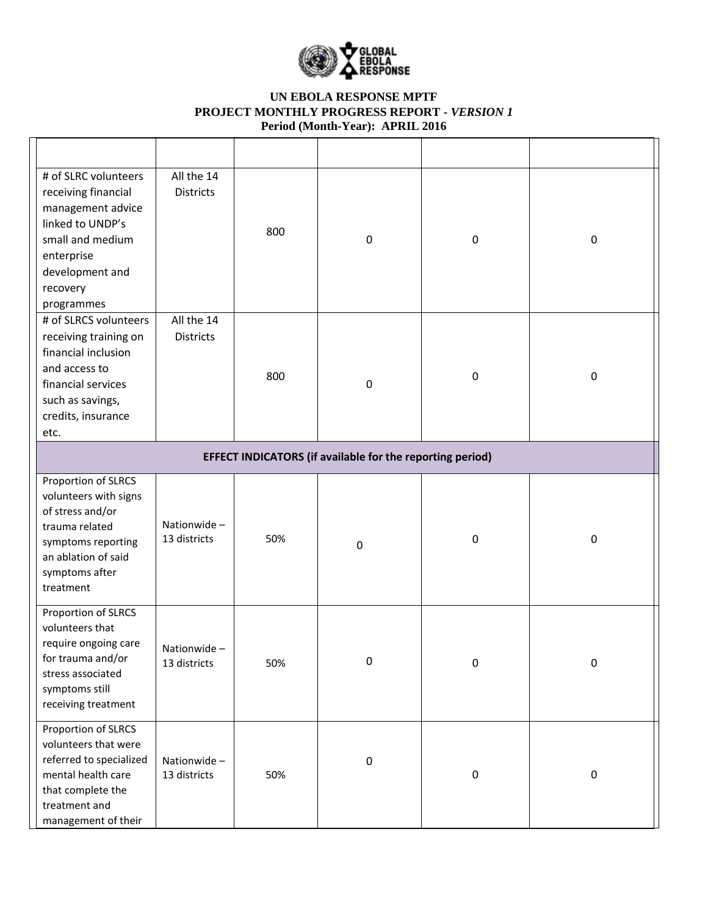

| # of SLRC volunteers<br>receiving financial<br>management advice<br>linked to UNDP's<br>small and medium<br>enterprise<br>development and<br>recovery<br>programmes | All the 14<br><b>Districts</b> | 800 | 0                                                                | 0           | $\pmb{0}$ |
|---------------------------------------------------------------------------------------------------------------------------------------------------------------------|--------------------------------|-----|------------------------------------------------------------------|-------------|-----------|
| # of SLRCS volunteers<br>receiving training on<br>financial inclusion<br>and access to<br>financial services<br>such as savings,<br>credits, insurance<br>etc.      | All the 14<br><b>Districts</b> | 800 | 0                                                                | $\mathbf 0$ | $\pmb{0}$ |
|                                                                                                                                                                     |                                |     | <b>EFFECT INDICATORS (if available for the reporting period)</b> |             |           |
| Proportion of SLRCS<br>volunteers with signs<br>of stress and/or<br>trauma related<br>symptoms reporting<br>an ablation of said<br>symptoms after<br>treatment      | Nationwide-<br>13 districts    | 50% | $\boldsymbol{0}$                                                 | $\mathbf 0$ | $\pmb{0}$ |
| Proportion of SLRCS<br>volunteers that<br>require ongoing care<br>for trauma and/or<br>stress associated<br>symptoms still<br>receiving treatment                   | Nationwide-<br>13 districts    | 50% | 0                                                                | 0           | 0         |
| Proportion of SLRCS<br>volunteers that were<br>referred to specialized<br>mental health care<br>that complete the<br>treatment and<br>management of their           | Nationwide-<br>13 districts    | 50% | $\pmb{0}$                                                        | $\pmb{0}$   | $\pmb{0}$ |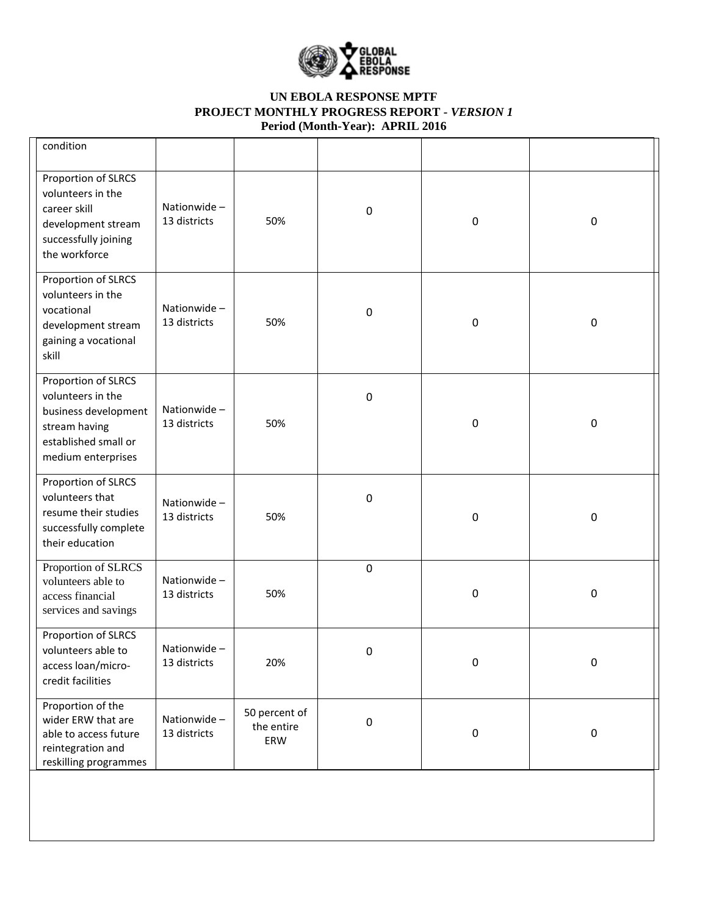

| condition                                                                                                                       |                             |                                    |                  |           |           |
|---------------------------------------------------------------------------------------------------------------------------------|-----------------------------|------------------------------------|------------------|-----------|-----------|
| Proportion of SLRCS<br>volunteers in the<br>career skill<br>development stream<br>successfully joining<br>the workforce         | Nationwide-<br>13 districts | 50%                                | 0                | $\pmb{0}$ | $\pmb{0}$ |
| Proportion of SLRCS<br>volunteers in the<br>vocational<br>development stream<br>gaining a vocational<br>skill                   | Nationwide-<br>13 districts | 50%                                | 0                | $\pmb{0}$ | $\pmb{0}$ |
| Proportion of SLRCS<br>volunteers in the<br>business development<br>stream having<br>established small or<br>medium enterprises | Nationwide-<br>13 districts | 50%                                | 0                | 0         | $\pmb{0}$ |
| Proportion of SLRCS<br>volunteers that<br>resume their studies<br>successfully complete<br>their education                      | Nationwide-<br>13 districts | 50%                                | $\boldsymbol{0}$ | 0         | $\pmb{0}$ |
| Proportion of SLRCS<br>volunteers able to<br>access financial<br>services and savings                                           | Nationwide-<br>13 districts | 50%                                | $\boldsymbol{0}$ | 0         | $\pmb{0}$ |
| Proportion of SLRCS<br>volunteers able to<br>access loan/micro-<br>credit facilities                                            | Nationwide-<br>13 districts | 20%                                | 0                | $\pmb{0}$ | 0         |
| Proportion of the<br>wider ERW that are<br>able to access future<br>reintegration and<br>reskilling programmes                  | Nationwide-<br>13 districts | 50 percent of<br>the entire<br>ERW | $\boldsymbol{0}$ | $\pmb{0}$ | $\pmb{0}$ |
|                                                                                                                                 |                             |                                    |                  |           |           |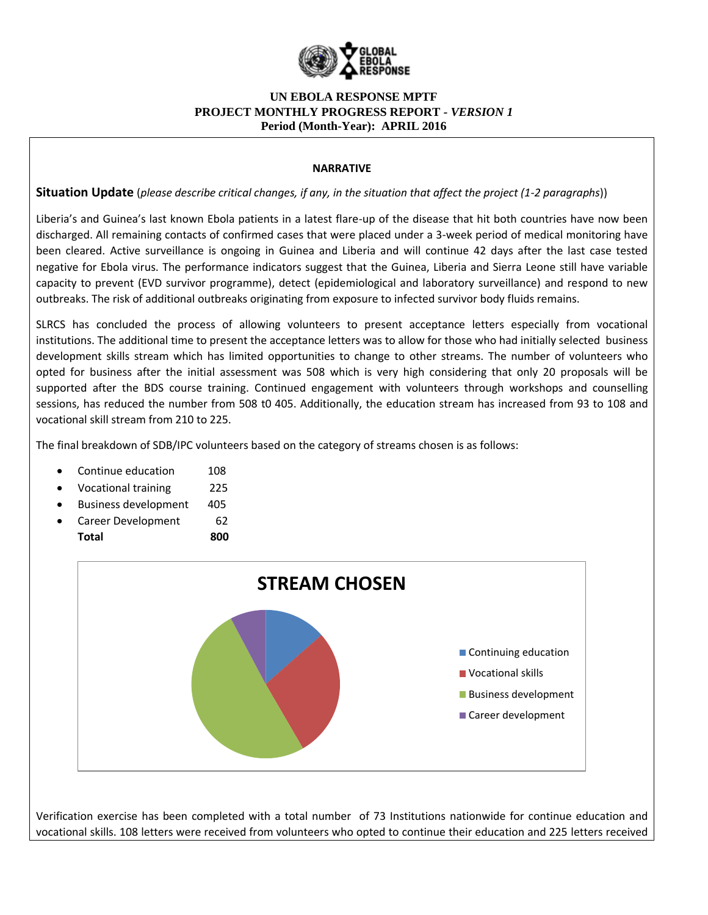

#### **NARRATIVE**

**Situation Update** (*please describe critical changes, if any, in the situation that affect the project (1-2 paragraphs*))

Liberia's and Guinea's last known Ebola patients in a latest flare-up of the disease that hit both countries have now been discharged. All remaining contacts of confirmed cases that were placed under a 3-week period of medical monitoring have been cleared. Active surveillance is ongoing in Guinea and Liberia and will continue 42 days after the last case tested negative for Ebola virus. The performance indicators suggest that the Guinea, Liberia and Sierra Leone still have variable capacity to prevent (EVD survivor programme), detect (epidemiological and laboratory surveillance) and respond to new outbreaks. The risk of additional outbreaks originating from exposure to infected survivor body fluids remains.

SLRCS has concluded the process of allowing volunteers to present acceptance letters especially from vocational institutions. The additional time to present the acceptance letters was to allow for those who had initially selected business development skills stream which has limited opportunities to change to other streams. The number of volunteers who opted for business after the initial assessment was 508 which is very high considering that only 20 proposals will be supported after the BDS course training. Continued engagement with volunteers through workshops and counselling sessions, has reduced the number from 508 t0 405. Additionally, the education stream has increased from 93 to 108 and vocational skill stream from 210 to 225.

The final breakdown of SDB/IPC volunteers based on the category of streams chosen is as follows:

- Continue education 108
- Vocational training 225
- Business development 405
- Career Development 62 **Total 800**



Verification exercise has been completed with a total number of 73 Institutions nationwide for continue education and vocational skills. 108 letters were received from volunteers who opted to continue their education and 225 letters received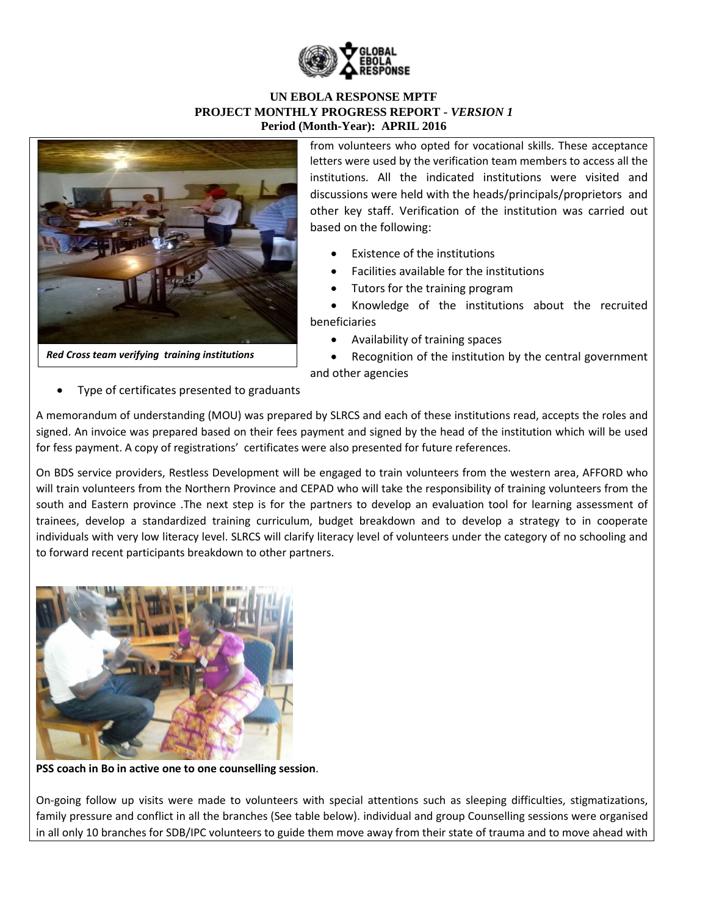



*Red Cross team verifying training institutions*

from volunteers who opted for vocational skills. These acceptance letters were used by the verification team members to access all the institutions. All the indicated institutions were visited and discussions were held with the heads/principals/proprietors and other key staff. Verification of the institution was carried out based on the following:

- Existence of the institutions
- Facilities available for the institutions
- Tutors for the training program

 Knowledge of the institutions about the recruited beneficiaries

Availability of training spaces

 Recognition of the institution by the central government and other agencies

Type of certificates presented to graduants

A memorandum of understanding (MOU) was prepared by SLRCS and each of these institutions read, accepts the roles and signed. An invoice was prepared based on their fees payment and signed by the head of the institution which will be used for fess payment. A copy of registrations' certificates were also presented for future references.

On BDS service providers, Restless Development will be engaged to train volunteers from the western area, AFFORD who will train volunteers from the Northern Province and CEPAD who will take the responsibility of training volunteers from the south and Eastern province .The next step is for the partners to develop an evaluation tool for learning assessment of trainees, develop a standardized training curriculum, budget breakdown and to develop a strategy to in cooperate individuals with very low literacy level. SLRCS will clarify literacy level of volunteers under the category of no schooling and to forward recent participants breakdown to other partners.



**PSS coach in Bo in active one to one counselling session**.

On-going follow up visits were made to volunteers with special attentions such as sleeping difficulties, stigmatizations, family pressure and conflict in all the branches (See table below). individual and group Counselling sessions were organised in all only 10 branches for SDB/IPC volunteers to guide them move away from their state of trauma and to move ahead with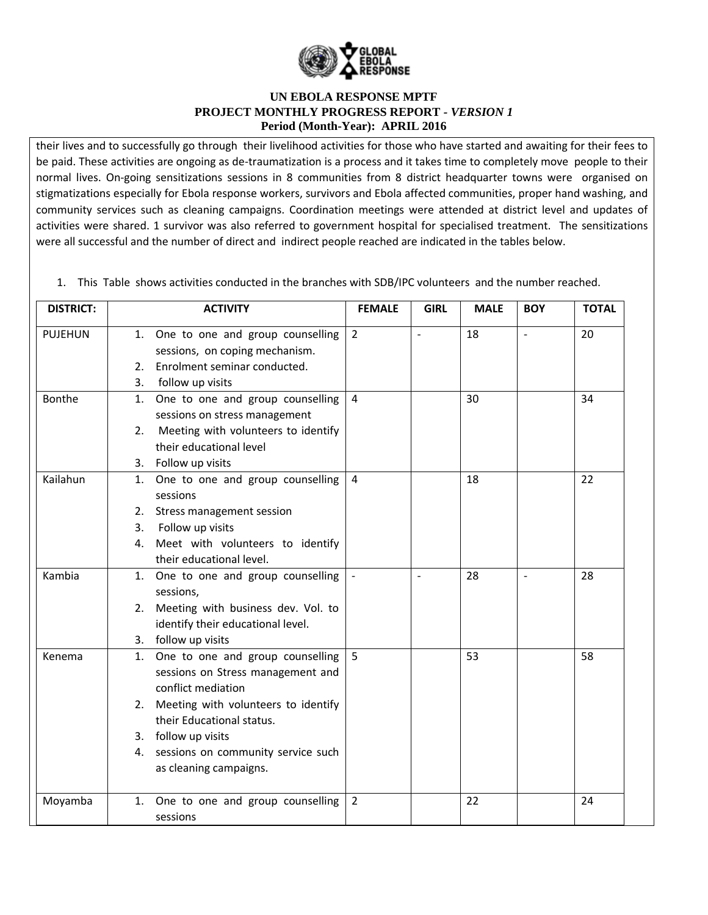

their lives and to successfully go through their livelihood activities for those who have started and awaiting for their fees to be paid. These activities are ongoing as de-traumatization is a process and it takes time to completely move people to their normal lives. On-going sensitizations sessions in 8 communities from 8 district headquarter towns were organised on stigmatizations especially for Ebola response workers, survivors and Ebola affected communities, proper hand washing, and community services such as cleaning campaigns. Coordination meetings were attended at district level and updates of activities were shared. 1 survivor was also referred to government hospital for specialised treatment. The sensitizations were all successful and the number of direct and indirect people reached are indicated in the tables below.

1. This Table shows activities conducted in the branches with SDB/IPC volunteers and the number reached.

| <b>DISTRICT:</b> |    | <b>ACTIVITY</b>                                                       | <b>FEMALE</b>  | <b>GIRL</b>              | <b>MALE</b> | <b>BOY</b>     | <b>TOTAL</b> |
|------------------|----|-----------------------------------------------------------------------|----------------|--------------------------|-------------|----------------|--------------|
| <b>PUJEHUN</b>   |    | 1. One to one and group counselling<br>sessions, on coping mechanism. | $\overline{2}$ | $\overline{\phantom{a}}$ | 18          | $\overline{a}$ | 20           |
|                  | 2. | Enrolment seminar conducted.                                          |                |                          |             |                |              |
|                  | 3. | follow up visits                                                      |                |                          |             |                |              |
| Bonthe           | 1. | One to one and group counselling                                      | 4              |                          | 30          |                | 34           |
|                  |    | sessions on stress management                                         |                |                          |             |                |              |
|                  | 2. | Meeting with volunteers to identify                                   |                |                          |             |                |              |
|                  |    | their educational level                                               |                |                          |             |                |              |
|                  |    | 3. Follow up visits                                                   |                |                          |             |                |              |
| Kailahun         |    | 1. One to one and group counselling                                   | 4              |                          | 18          |                | 22           |
|                  |    | sessions                                                              |                |                          |             |                |              |
|                  | 2. | Stress management session                                             |                |                          |             |                |              |
|                  | 3. | Follow up visits                                                      |                |                          |             |                |              |
|                  |    | 4. Meet with volunteers to identify                                   |                |                          |             |                |              |
|                  |    | their educational level.                                              |                |                          |             |                |              |
| Kambia           |    | 1. One to one and group counselling                                   |                | $\sim$                   | 28          | $\blacksquare$ | 28           |
|                  |    | sessions,                                                             |                |                          |             |                |              |
|                  |    | 2. Meeting with business dev. Vol. to                                 |                |                          |             |                |              |
|                  |    | identify their educational level.                                     |                |                          |             |                |              |
|                  |    | 3. follow up visits                                                   |                |                          |             |                |              |
| Kenema           |    | 1. One to one and group counselling                                   | 5              |                          | 53          |                | 58           |
|                  |    | sessions on Stress management and                                     |                |                          |             |                |              |
|                  |    | conflict mediation                                                    |                |                          |             |                |              |
|                  |    | 2. Meeting with volunteers to identify                                |                |                          |             |                |              |
|                  |    | their Educational status.                                             |                |                          |             |                |              |
|                  |    | 3. follow up visits                                                   |                |                          |             |                |              |
|                  |    | 4. sessions on community service such                                 |                |                          |             |                |              |
|                  |    | as cleaning campaigns.                                                |                |                          |             |                |              |
| Moyamba          |    | 1. One to one and group counselling                                   | $\overline{2}$ |                          | 22          |                | 24           |
|                  |    | sessions                                                              |                |                          |             |                |              |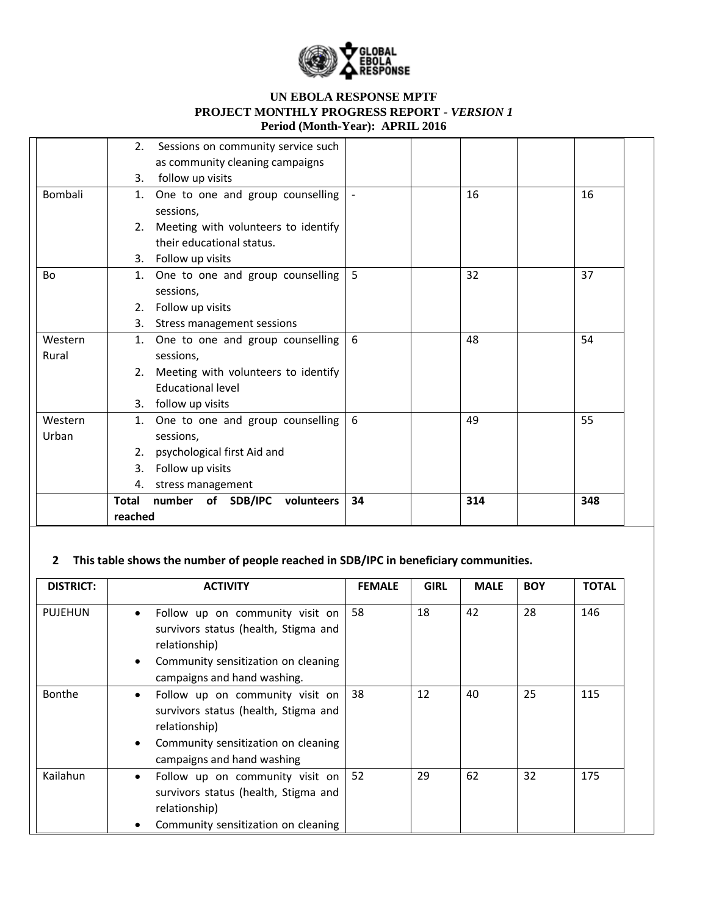

|         | 2.           | Sessions on community service such  |    |     |     |
|---------|--------------|-------------------------------------|----|-----|-----|
|         |              | as community cleaning campaigns     |    |     |     |
|         | 3.           | follow up visits                    |    |     |     |
| Bombali | 1.           | One to one and group counselling    |    | 16  | 16  |
|         |              | sessions,                           |    |     |     |
|         | 2.           | Meeting with volunteers to identify |    |     |     |
|         |              | their educational status.           |    |     |     |
|         |              | 3. Follow up visits                 |    |     |     |
| Bo      | 1.           | One to one and group counselling    | 5  | 32  | 37  |
|         |              | sessions,                           |    |     |     |
|         | 2.           | Follow up visits                    |    |     |     |
|         | 3.           | Stress management sessions          |    |     |     |
| Western | 1.           | One to one and group counselling    | 6  | 48  | 54  |
| Rural   |              | sessions,                           |    |     |     |
|         | 2.           | Meeting with volunteers to identify |    |     |     |
|         |              | <b>Educational level</b>            |    |     |     |
|         |              | 3. follow up visits                 |    |     |     |
| Western | 1.           | One to one and group counselling    | 6  | 49  | 55  |
| Urban   |              | sessions,                           |    |     |     |
|         | 2.           | psychological first Aid and         |    |     |     |
|         | 3.           | Follow up visits                    |    |     |     |
|         | 4.           | stress management                   |    |     |     |
|         | <b>Total</b> | number of SDB/IPC<br>volunteers     | 34 | 314 | 348 |
|         | reached      |                                     |    |     |     |

# **2 This table shows the number of people reached in SDB/IPC in beneficiary communities.**

| <b>DISTRICT:</b> | <b>ACTIVITY</b>                                                                                                                                                             | <b>FEMALE</b> | <b>GIRL</b> | <b>MALE</b> | <b>BOY</b> | <b>TOTAL</b> |
|------------------|-----------------------------------------------------------------------------------------------------------------------------------------------------------------------------|---------------|-------------|-------------|------------|--------------|
| <b>PUJEHUN</b>   | Follow up on community visit on<br>$\bullet$<br>survivors status (health, Stigma and<br>relationship)<br>Community sensitization on cleaning<br>campaigns and hand washing. | 58            | 18          | 42          | 28         | 146          |
| Bonthe           | Follow up on community visit on<br>$\bullet$<br>survivors status (health, Stigma and<br>relationship)<br>Community sensitization on cleaning<br>campaigns and hand washing  | 38            | 12          | 40          | 25         | 115          |
| Kailahun         | Follow up on community visit on<br>$\bullet$<br>survivors status (health, Stigma and<br>relationship)<br>Community sensitization on cleaning                                | 52            | 29          | 62          | 32         | 175          |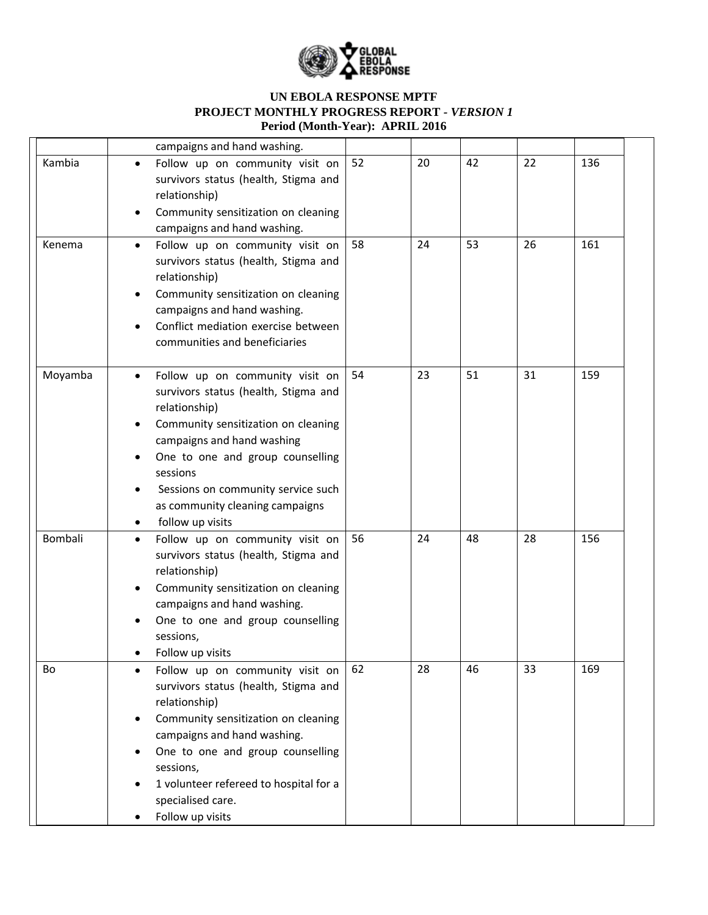

|         | campaigns and hand washing.                                                                                                                                                                                                                                                                                                                       |    |    |    |    |     |
|---------|---------------------------------------------------------------------------------------------------------------------------------------------------------------------------------------------------------------------------------------------------------------------------------------------------------------------------------------------------|----|----|----|----|-----|
| Kambia  | Follow up on community visit on<br>$\bullet$<br>survivors status (health, Stigma and<br>relationship)<br>Community sensitization on cleaning<br>$\bullet$<br>campaigns and hand washing.                                                                                                                                                          | 52 | 20 | 42 | 22 | 136 |
| Kenema  | Follow up on community visit on<br>$\bullet$<br>survivors status (health, Stigma and<br>relationship)<br>Community sensitization on cleaning<br>$\bullet$<br>campaigns and hand washing.<br>Conflict mediation exercise between<br>communities and beneficiaries                                                                                  | 58 | 24 | 53 | 26 | 161 |
| Moyamba | Follow up on community visit on<br>$\bullet$<br>survivors status (health, Stigma and<br>relationship)<br>Community sensitization on cleaning<br>campaigns and hand washing<br>One to one and group counselling<br>sessions<br>Sessions on community service such<br>$\bullet$<br>as community cleaning campaigns<br>follow up visits<br>$\bullet$ | 54 | 23 | 51 | 31 | 159 |
| Bombali | Follow up on community visit on<br>$\bullet$<br>survivors status (health, Stigma and<br>relationship)<br>Community sensitization on cleaning<br>campaigns and hand washing.<br>One to one and group counselling<br>sessions,<br>Follow up visits                                                                                                  | 56 | 24 | 48 | 28 | 156 |
| Bo      | Follow up on community visit on<br>$\bullet$<br>survivors status (health, Stigma and<br>relationship)<br>Community sensitization on cleaning<br>$\bullet$<br>campaigns and hand washing.<br>One to one and group counselling<br>sessions,<br>1 volunteer refereed to hospital for a<br>specialised care.<br>Follow up visits                      | 62 | 28 | 46 | 33 | 169 |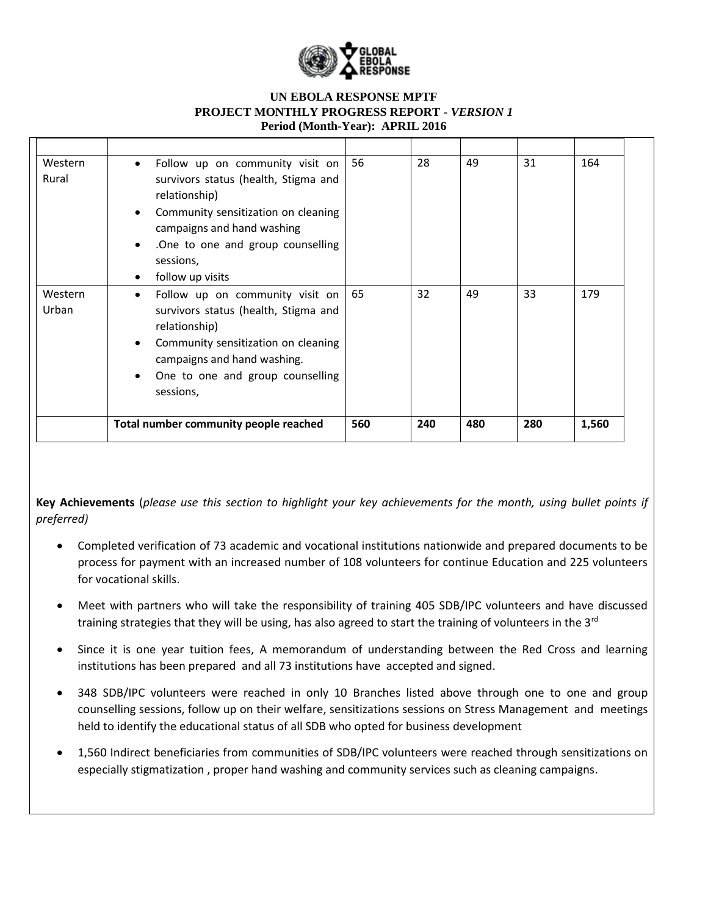

| Western<br>Rural | Follow up on community visit on<br>$\bullet$<br>survivors status (health, Stigma and<br>relationship)<br>Community sensitization on cleaning<br>$\bullet$<br>campaigns and hand washing<br>.One to one and group counselling<br>٠<br>sessions,<br>follow up visits | 56  | 28  | 49  | 31  | 164   |
|------------------|--------------------------------------------------------------------------------------------------------------------------------------------------------------------------------------------------------------------------------------------------------------------|-----|-----|-----|-----|-------|
| Western<br>Urban | Follow up on community visit on<br>$\bullet$<br>survivors status (health, Stigma and<br>relationship)<br>Community sensitization on cleaning<br>campaigns and hand washing.<br>One to one and group counselling<br>٠<br>sessions,                                  | 65  | 32  | 49  | 33  | 179   |
|                  | Total number community people reached                                                                                                                                                                                                                              | 560 | 240 | 480 | 280 | 1,560 |

**Key Achievements** (*please use this section to highlight your key achievements for the month, using bullet points if preferred)*

- Completed verification of 73 academic and vocational institutions nationwide and prepared documents to be process for payment with an increased number of 108 volunteers for continue Education and 225 volunteers for vocational skills.
- Meet with partners who will take the responsibility of training 405 SDB/IPC volunteers and have discussed training strategies that they will be using, has also agreed to start the training of volunteers in the 3<sup>rd</sup>
- Since it is one year tuition fees, A memorandum of understanding between the Red Cross and learning institutions has been prepared and all 73 institutions have accepted and signed.
- 348 SDB/IPC volunteers were reached in only 10 Branches listed above through one to one and group counselling sessions, follow up on their welfare, sensitizations sessions on Stress Management and meetings held to identify the educational status of all SDB who opted for business development
- 1,560 Indirect beneficiaries from communities of SDB/IPC volunteers were reached through sensitizations on especially stigmatization , proper hand washing and community services such as cleaning campaigns.